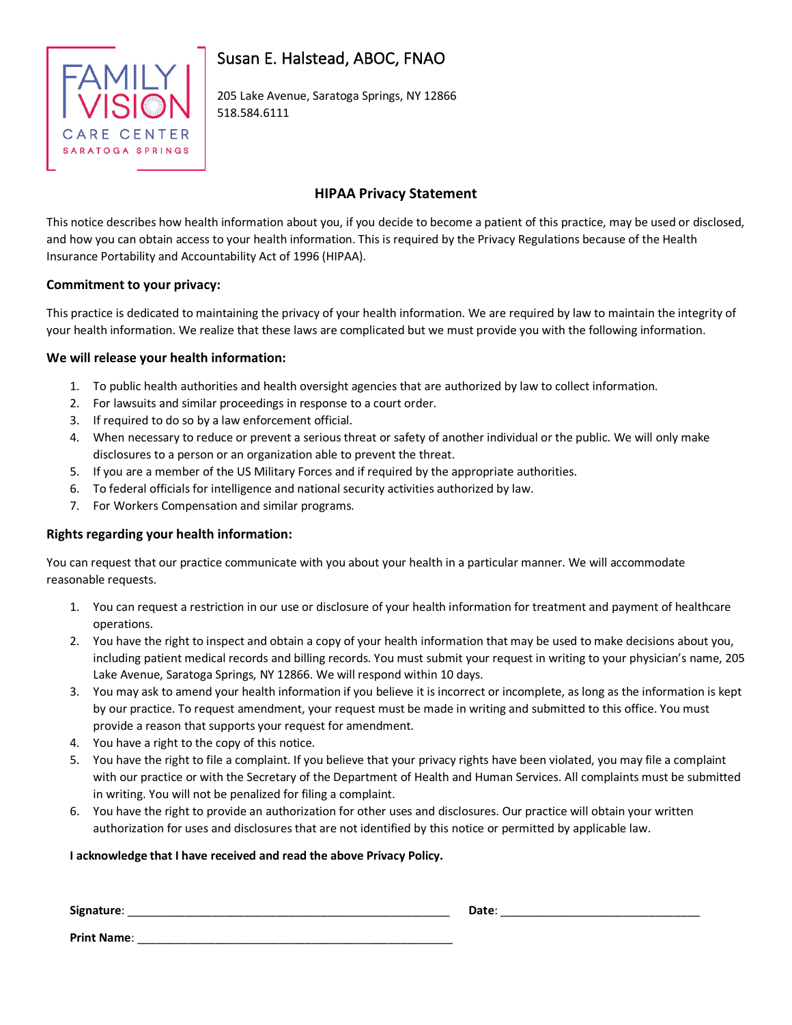

# Susan E. Halstead, ABOC, FNAO

205 Lake Avenue, Saratoga Springs, NY 12866 518.584.6111

## **HIPAA Privacy Statement**

This notice describes how health information about you, if you decide to become a patient of this practice, may be used or disclosed, and how you can obtain access to your health information. This is required by the Privacy Regulations because of the Health Insurance Portability and Accountability Act of 1996 (HIPAA).

## **Commitment to your privacy:**

This practice is dedicated to maintaining the privacy of your health information. We are required by law to maintain the integrity of your health information. We realize that these laws are complicated but we must provide you with the following information.

## **We will release your health information:**

- 1. To public health authorities and health oversight agencies that are authorized by law to collect information.
- 2. For lawsuits and similar proceedings in response to a court order.
- 3. If required to do so by a law enforcement official.
- 4. When necessary to reduce or prevent a serious threat or safety of another individual or the public. We will only make disclosures to a person or an organization able to prevent the threat.
- 5. If you are a member of the US Military Forces and if required by the appropriate authorities.
- 6. To federal officials for intelligence and national security activities authorized by law.
- 7. For Workers Compensation and similar programs.

## **Rights regarding your health information:**

You can request that our practice communicate with you about your health in a particular manner. We will accommodate reasonable requests.

- 1. You can request a restriction in our use or disclosure of your health information for treatment and payment of healthcare operations.
- 2. You have the right to inspect and obtain a copy of your health information that may be used to make decisions about you, including patient medical records and billing records. You must submit your request in writing to your physician's name, 205 Lake Avenue, Saratoga Springs, NY 12866. We will respond within 10 days.
- 3. You may ask to amend your health information if you believe it is incorrect or incomplete, as long as the information is kept by our practice. To request amendment, your request must be made in writing and submitted to this office. You must provide a reason that supports your request for amendment.
- 4. You have a right to the copy of this notice.
- 5. You have the right to file a complaint. If you believe that your privacy rights have been violated, you may file a complaint with our practice or with the Secretary of the Department of Health and Human Services. All complaints must be submitted in writing. You will not be penalized for filing a complaint.
- 6. You have the right to provide an authorization for other uses and disclosures. Our practice will obtain your written authorization for uses and disclosures that are not identified by this notice or permitted by applicable law.

#### **I acknowledge that I have received and read the above Privacy Policy.**

| Signature:         | Date: |  |
|--------------------|-------|--|
| <b>Print Name:</b> |       |  |